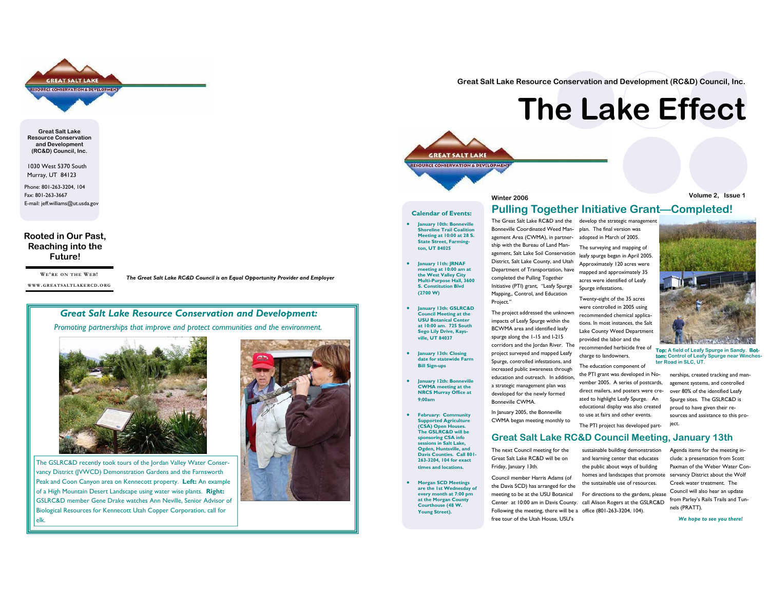

**Great Salt Lake Resource Conservation and Development (RC&D) Council, Inc.** 

1030 West 5370 South Murray, UT 84123

Phone: 801-263-3204, 104 Fax: 801-263-3667 E-mail: jeff.williams@ut.usda.gov

#### **Rooted in Our Past, Reaching into the Future!**

**WE'RE ON THE WEB!WWW. GREATSALTLAKERCD. ORG**

*The Great Salt Lake RC&D Council is an Equal Opportunity Provider and Employer* 

# *Great Salt Lake Resource Conservation and Development:*

*Promoting partnerships that improve and protect communities and the environment.*



The GSLRC&D recently took tours of the Jordan Valley Water Conservancy District (JVWCD) Demonstration Gardens and the Farnsworth Peak and Coon Canyon area on Kennecott property. **Left:** An example of a High Mountain Desert Landscape using water wise plants. **Right:** GSLRC&D member Gene Drake watches Ann Neville, Senior Advisor of Biological Resources for Kennecott Utah Copper Corporation, call for elk.



**Great Salt Lake Resource Conservation and Development (RC&D) Council, Inc.** 

# **The Lake Effect**

#### **Calendar of Events:**

**GREAT SALT LAKE ESOURCE CONSERVATION & DEVELOPMEN** 

- **• January 10th: Bonneville Shoreline Trail Coalition Meeting at 10:00 at 28 S. State Street, Farmington, UT 84025**
- $\bullet$  **January 11th: JRNAF meeting at 10:00 am at the West Valley City Multi-Purpose Hall, 3600 S. Constitution Blvd (2700 W)**
- $\bullet$  **January 13th: GSLRC&D Council Meeting at the USU Botanical Center at 10:00 am. 725 South Sego Lily Drive, Kaysville, UT 84037**
- $\bullet$  **January 13th: Closing date for statewide Farm Bill Sign-ups**
- $\bullet$  **January 12th: Bonneville CWMA meeting at the NRCS Murray Office at 9:00am**
- **•** February: Community **Supported Agriculture (CSA) Open Houses. The GSLRC&D will be sponsoring CSA info sessions in Salt Lake, Ogden, Huntsville, and Davis Counties. Call 801-263-3204, 104 for exact times and locations.**
- $\bullet$  **Morgan SCD Meetings are the 1st Wednesday of every month at 7:00 pm at the Morgan County Courthouse (48 W. Young Street).**

The Great Salt Lake RC&D and the Bonneville Coordinated Weed Management Area (CWMA), in partnership with the Bureau of Land Management, Salt Lake Soil Conservation District, Salt Lake County, and Utah Department of Transportation, have completed the Pulling Together Initiative (PTI) grant, "Leafy Spurge Mapping,, Control, and Education Project." The surveying and mapping of

The project addressed the unknown impacts of Leafy Spurge within the BCWMA area and identified leafy spurge along the 1-15 and I-215 corridors and the Jordan River. The project surveyed and mapped Leafy Spurge, controlled infestations, and increased public awareness through education and outreach. In addition, a strategic management plan was developed for the newly formed Bonneville CWMA. ated to highlight Leafy Spurge. An

In January 2005, the Bonneville CWMA began meeting monthly to

# **Great Salt Lake RC&D Council Meeting, January 13th**

The next Council meeting for the Great Salt Lake RC&D will be on Friday, January 13th.

Council member Harris Adams (of the Davis SCD) has arranged for the meeting to be at the USU Botanical Center at 10:00 am in Davis County. call Alison Rogers at the GSLRC&D Following the meeting, there will be a office (801-263-3204, 104). free tour of the Utah House, USU's

**Winter 2006 Volume 2, Issue 1** 

# **Pulling Together Initiative Grant—Completed!**

develop the strategic management plan. The final version was adopted in March of 2005.

> leafy spurge began in April 2005. Approximately 120 acres were mapped and approximately 35 acres were identified of Leafy Spurge infestations.

Twenty-eight of the 35 acres were controlled in 2005 using recommended chemical applications. In most instances, the Salt Lake County Weed Department provided the labor and the recommended herbicide free of charge to landowners. **tom: Control of Leafy Spurge near Winches-**

The education component of the PTI grant was developed in November 2005. A series of postcards, direct mailers, and posters were cre-

nerships, created tracking and management systems, and controlled over 80% of the identified Leafy Spurge sites. The GSLRC&D is proud to have given their resources and assistance to this project.

The PTI project has developed part-

educational display was also created to use at fairs and other events.

sustainable building demonstration and learning center that educates the public about ways of building homes and landscapes that promote servancy District about the Wolf the sustainable use of resources. For directions to the gardens, please Agenda items for the meeting include: a presentation from Scott Paxman of the Weber Water Con-Creek water treatment. The Council will also hear an update

from Parley's Rails Trails and Tunnels (PRATT).

*We hope to see you there!*



**ter Road in SLC, UT.**